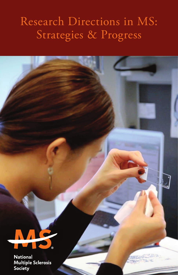# Research Directions in MS: Strategies & Progress



**National Multiple Sclerosis** Society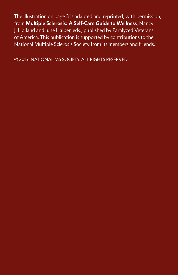The illustration on page 3 is adapted and reprinted, with permission, from **Multiple Sclerosis: A Self-Care Guide to Wellness**, Nancy J. Holland and June Halper, eds., published by Paralyzed Veterans of America. This publication is supported by contributions to the National Multiple Sclerosis Society from its members and friends.

© 2016 NATIONAL MS SOCIETY. ALL RIGHTS RESERVED.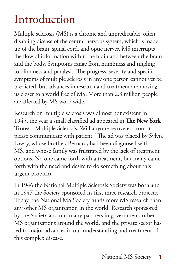# Introduction

Multiple sclerosis (MS) is a chronic and unpredictable, often disabling disease of the central nervous system, which is made up of the brain, spinal cord, and optic nerves. MS interrupts the flow of information within the brain and between the brain and the body. Symptoms range from numbness and tingling to blindness and paralysis. The progress, severity and specific symptoms of multiple sclerosis in any one person cannot yet be predicted, but advances in research and treatment are moving us closer to a world free of MS. More than 2.3 million people are affected by MS worldwide.

Research on multiple sclerosis was almost nonexistent in 1945, the year a small classified ad appeared in **The New York Times**: "Multiple Sclerosis. Will anyone recovered from it please communicate with patient." The ad was placed by Sylvia Lawry, whose brother, Bernard, had been diagnosed with MS, and whose family was frustrated by the lack of treatment options. No one came forth with a treatment, but many came forth with the need and desire to do something about this urgent problem.

In 1946 the National Multiple Sclerosis Society was born and in 1947 the Society sponsored its first three research projects. Today, the National MS Society funds more MS research than any other MS organization in the world. Research sponsored by the Society and our many partners in government, other MS organizations around the world, and the private sector has led to major advances in our understanding and treatment of this complex disease.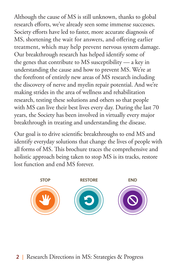Although the cause of MS is still unknown, thanks to global research efforts, we've already seen some immense successes. Society efforts have led to faster, more accurate diagnosis of MS, shortening the wait for answers, and offering earlier treatment, which may help prevent nervous system damage. Our breakthrough research has helped identify some of the genes that contribute to MS susceptibility — a key in understanding the cause and how to prevent MS. We're at the forefront of entirely new areas of MS research including the discovery of nerve and myelin repair potential. And we're making strides in the area of wellness and rehabilitation research, testing these solutions and others so that people with MS can live their best lives every day. During the last 70 years, the Society has been involved in virtually every major breakthrough in treating and understanding the disease.

Our goal is to drive scientific breakthroughs to end MS and identify everyday solutions that change the lives of people with all forms of MS. This brochure traces the comprehensive and holistic approach being taken to stop MS is its tracks, restore lost function and end MS forever.

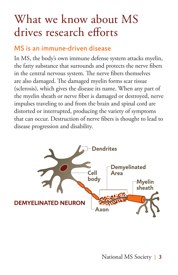# What we know about MS drives research efforts

### MS is an immune-driven disease

In MS, the body's own immune defense system attacks myelin, the fatty substance that surrounds and protects the nerve fibers in the central nervous system. The nerve fibers themselves are also damaged. The damaged myelin forms scar tissue (sclerosis), which gives the disease its name. When any part of the myelin sheath or nerve fiber is damaged or destroyed, nerve impulses traveling to and from the brain and spinal cord are distorted or interrupted, producing the variety of symptoms that can occur. Destruction of nerve fibers is thought to lead to disease progression and disability.

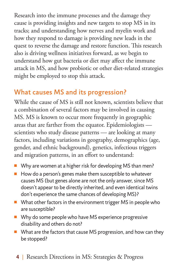Research into the immune processes and the damage they cause is providing insights and new targets to stop MS in its tracks; and understanding how nerves and myelin work and how they respond to damage is providing new leads in the quest to reverse the damage and restore function. This research also is driving wellness initiatives forward, as we begin to understand how gut bacteria or diet may affect the immune attack in MS, and how probiotic or other diet-related strategies might be employed to stop this attack.

### What causes MS and its progression?

While the cause of MS is still not known, scientists believe that a combination of several factors may be involved in causing MS. MS is known to occur more frequently in geographic areas that are farther from the equator. Epidemiologists scientists who study disease patterns — are looking at many factors, including variations in geography, demographics (age, gender, and ethnic background), genetics, infectious triggers and migration patterns, in an effort to understand:

- Why are women at a higher risk for developing MS than men?
- How do a person's genes make them susceptible to whatever causes MS (but genes alone are not the only answer, since MS doesn't appear to be directly inherited, and even identical twins don't experience the same chances of developing MS)?
- What other factors in the environment trigger MS in people who are susceptible?
- Why do some people who have MS experience progressive disability and others do not?
- What are the factors that cause MS progression, and how can they be stopped?
	- 4 | Research Directions in MS: Strategies & Progress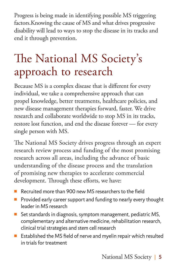Progress is being made in identifying possible MS triggering factors.Knowing the cause of MS and what drives progressive disability will lead to ways to stop the disease in its tracks and end it through prevention.

# The National MS Society's approach to research

Because MS is a complex disease that is different for every individual, we take a comprehensive approach that can propel knowledge, better treatments, healthcare policies, and new disease management therapies forward, faster. We drive research and collaborate worldwide to stop MS in its tracks, restore lost function, and end the disease forever — for every single person with MS.

The National MS Society drives progress through an expert research review process and funding of the most promising research across all areas, including the advance of basic understanding of the disease process and the translation of promising new therapies to accelerate commercial development. Through these efforts, we have:

- Recruited more than 900 new MS researchers to the field
- Provided early career support and funding to nearly every thought leader in MS research
- Set standards in diagnosis, symptom management, pediatric MS, complementary and alternative medicine, rehabilitation research, clinical trial strategies and stem cell research
- Established the MS field of nerve and myelin repair which resulted in trials for treatment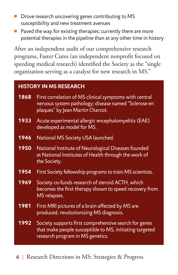- Drove research uncovering genes contributing to MS susceptibility and new treatment avenues
- Paved the way for existing therapies; currently there are more potential therapies in the pipeline than at any other time in history

After an independent audit of our comprehensive research programs, Faster Cures (an independent nonprofit focused on speeding medical research) identified the Society as the "single organization serving as a catalyst for new research in MS."

#### **HISTORY IN MS RESEARCH**

| 1868 | First correlation of MS clinical symptoms with central<br>nervous system pathology; disease named "Sclerose en<br>plaques" by Jean Martin Charcot.   |
|------|------------------------------------------------------------------------------------------------------------------------------------------------------|
| 1933 | Acute experimental allergic encephalomyelitis (EAE)<br>developed as model for MS.                                                                    |
| 1946 | National MS Society USA launched.                                                                                                                    |
| 1950 | National Institute of Neurological Diseases founded<br>at National Institutes of Health through the work of<br>the Society.                          |
| 1954 | First Society fellowship programs to train MS scientists.                                                                                            |
| 1969 | Society co-funds research of steroid ACTH, which<br>becomes the first therapy shown to speed recovery from<br>MS relapses.                           |
| 1981 | First MRI pictures of a brain affected by MS are<br>produced, revolutionizing MS diagnosis.                                                          |
| 1992 | Society supports first comprehensive search for genes<br>that make people susceptible to MS, initiating targeted<br>research program in MS genetics. |

6 | Research Directions in MS: Strategies & Progress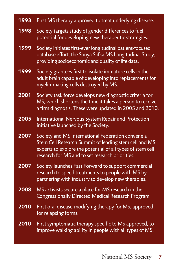| 1993 | First MS therapy approved to treat underlying disease.                                                                                                                                                                      |
|------|-----------------------------------------------------------------------------------------------------------------------------------------------------------------------------------------------------------------------------|
| 1998 | Society targets study of gender differences to fuel<br>potential for developing new therapeutic strategies.                                                                                                                 |
| 1999 | Society initiates first-ever longitudinal patient-focused<br>database effort, the Sonya Slifka MS Longitudinal Study,<br>providing socioeconomic and quality of life data.                                                  |
| 1999 | Society grantees first to isolate immature cells in the<br>adult brain capable of developing into replacements for<br>myelin-making cells destroyed by MS.                                                                  |
| 2001 | Society task force develops new diagnostic criteria for<br>MS, which shortens the time it takes a person to receive<br>a firm diagnosis. These were updated in 2005 and 2010.                                               |
| 2005 | International Nervous System Repair and Protection<br>initiative launched by the Society.                                                                                                                                   |
| 2007 | Society and MS International Federation convene a<br>Stem Cell Research Summit of leading stem cell and MS<br>experts to explore the potential of all types of stem cell<br>research for MS and to set research priorities. |
| 2007 | Society launches Fast Forward to support commercial<br>research to speed treatments to people with MS by<br>partnering with industry to develop new therapies.                                                              |
| 2008 | MS activists secure a place for MS research in the<br>Congressionally Directed Medical Research Program.                                                                                                                    |
| 2010 | First oral disease-modifying therapy for MS, approved<br>for relapsing forms.                                                                                                                                               |
| 2010 | First symptomatic therapy specific to MS approved, to<br>improve walking ability in people with all types of MS.                                                                                                            |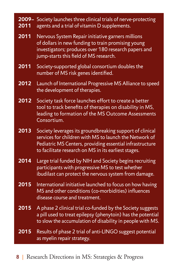| 2009-<br>2011 | Society launches three clinical trials of nerve-protecting<br>agents and a trial of vitamin D supplements.                                                                                                                             |
|---------------|----------------------------------------------------------------------------------------------------------------------------------------------------------------------------------------------------------------------------------------|
| 2011          | Nervous System Repair initiative garners millions<br>of dollars in new funding to train promising young<br>investigators; produces over 180 research papers and<br>jump-starts this field of MS research.                              |
| 2011          | Society-supported global consortium doubles the<br>number of MS risk genes identified.                                                                                                                                                 |
| 2012          | Launch of International Progressive MS Alliance to speed<br>the development of therapies.                                                                                                                                              |
| 2012          | Society task force launches effort to create a better<br>tool to track benefits of therapies on disability in MS,<br>leading to formation of the MS Outcome Assessments<br>Consortium.                                                 |
| 2013          | Society leverages its groundbreaking support of clinical<br>services for children with MS to launch the Network of<br>Pediatric MS Centers, providing essential infrastructure<br>to facilitate research on MS in its earliest stages. |
| 2014          | Large trial funded by NIH and Society begins recruiting<br>participants with progressive MS to test whether<br>ibudilast can protect the nervous system from damage.                                                                   |
| 2015          | International initiative launched to focus on how having<br>MS and other conditions (co-morbidities) influences<br>disease course and treatment.                                                                                       |
| 2015          | A phase 2 clinical trial co-funded by the Society suggests<br>a pill used to treat epilepsy (phenytoin) has the potential<br>to slow the accumulation of disability in people with MS.                                                 |
| 2015          | Results of phase 2 trial of anti-LINGO suggest potential<br>as myelin repair strategy.                                                                                                                                                 |

8 | Research Directions in MS: Strategies & Progress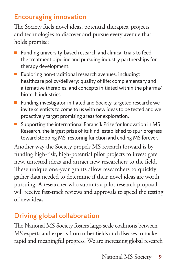### Encouraging innovation

The Society fuels novel ideas, potential therapies, projects and technologies to discover and pursue every avenue that holds promise:

- Funding university-based research and clinical trials to feed the treatment pipeline and pursuing industry partnerships for therapy development.
- Exploring non-traditional research avenues, including: healthcare policy/delivery; quality of life; complementary and alternative therapies; and concepts initiated within the pharma/ biotech industries.
- Funding investigator-initiated and Society-targeted research: we invite scientists to come to us with new ideas to be tested and we proactively target promising areas for exploration.
- Supporting the international Barancik Prize for Innovation in MS Research, the largest prize of its kind, established to spur progress toward stopping MS, restoring function and ending MS forever.

Another way the Society propels MS research forward is by funding high-risk, high-potential pilot projects to investigate new, untested ideas and attract new researchers to the field. These unique one-year grants allow researchers to quickly gather data needed to determine if their novel ideas are worth pursuing. A researcher who submits a pilot research proposal will receive fast-track reviews and approvals to speed the testing of new ideas.

### Driving global collaboration

The National MS Society fosters large-scale coalitions between MS experts and experts from other fields and diseases to make rapid and meaningful progress. We are increasing global research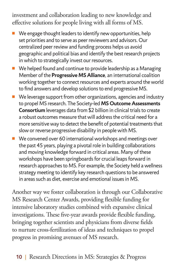investment and collaboration leading to new knowledge and effective solutions for people living with all forms of MS.

- We engage thought leaders to identify new opportunities, help set priorities and to serve as peer reviewers and advisors. Our centralized peer review and funding process helps us avoid geographic and political bias and identify the best research projects in which to strategically invest our resources.
- We helped found and continue to provide leadership as a Managing Member of the **Progressive MS Alliance**, an international coalition working together to connect resources and experts around the world to find answers and develop solutions to end progressive MS.
- We leverage support from other organizations, agencies and industry to propel MS research. The Society-led **MS Outcome Assessments Consortium** leverages data from \$2 billion in clinical trials to create a robust outcomes measure that will address the critical need for a more sensitive way to detect the benefit of potential treatments that slow or reverse progressive disability in people with MS.
- We convened over 60 international workshops and meetings over the past 45 years, playing a pivotal role in building collaborations and moving knowledge forward in critical areas. Many of these workshops have been springboards for crucial leaps forward in research approaches to MS. For example, the Society held a wellness strategy meeting to identify key research questions to be answered in areas such as diet, exercise and emotional issues in MS.

Another way we foster collaboration is through our Collaborative MS Research Center Awards, providing flexible funding for intensive laboratory studies combined with expansive clinical investigations. These five-year awards provide flexible funding, bringing together scientists and physicians from diverse fields to nurture cross-fertilization of ideas and techniques to propel progress in promising avenues of MS research.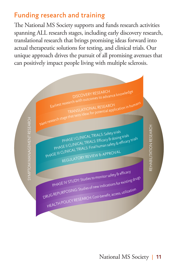### Funding research and training

The National MS Society supports and funds research activities spanning ALL research stages, including early discovery research, translational research that brings promising ideas forward into actual therapeutic solutions for testing, and clinical trials. Our unique approach drives the pursuit of all promising avenues that can positively impact people living with multiple sclerosis.

DISCOVERY RESEARCH<br>Earliest research with outcomes to advance knowledge TRANSLATIONAL RESEARCH Earlies TRANSLATIONAL RESEARCH<br>TRANSLATIONAL RESEARCH SYMPTOM MANAGEMENT RESEARCH SYMPTOM MANAGEMENT RESEARCH REHABILITATION RESEARCH REHABILITATION RESEARCH PHASE I CLINICAL TRIALS: Safety trials<br>PHASE I CLINICAL TRIALS: Efficacy & dosing ec,<br>& dosing trials <sub>r dosing the cacy trials<br>fety & efficacy trials</sub> PHASETULE TRIALS: Efficacy c<br>PHASE II CLINICAL TRIALS: Final human sa PHASE II CLINICAL TRIALS: Final hu<br>PHASE III CLINICAL TRIALS: Final hu REGULATORY REVIEW & APPROVAL PHASE IV STUDY: Studies to monitor safety & efficacy PHASE IV STUDY: Studies to monitor series of the existing drugs<br>DRUG REPURPOSING: Studies of new indications for existing drugs HEALTH POLICY RESEARCH: Cost-benefit, access, utilization ess, utilization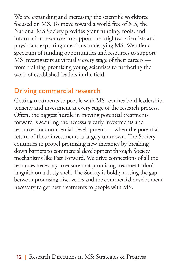We are expanding and increasing the scientific workforce focused on MS. To move toward a world free of MS, the National MS Society provides grant funding, tools, and information resources to support the brightest scientists and physicians exploring questions underlying MS. We offer a spectrum of funding opportunities and resources to support MS investigators at virtually every stage of their careers from training promising young scientists to furthering the work of established leaders in the field.

### Driving commercial research

Getting treatments to people with MS requires bold leadership, tenacity and investment at every stage of the research process. Often, the biggest hurdle in moving potential treatments forward is securing the necessary early investments and resources for commercial development — when the potential return of those investments is largely unknown. The Society continues to propel promising new therapies by breaking down barriers to commercial development through Society mechanisms like Fast Forward. We drive connections of all the resources necessary to ensure that promising treatments don't languish on a dusty shelf. The Society is boldly closing the gap between promising discoveries and the commercial development necessary to get new treatments to people with MS.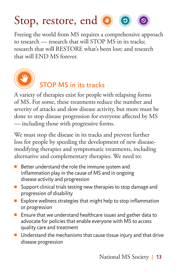

Freeing the world from MS requires a comprehensive approach to research — research that will STOP MS in its tracks; research that will RESTORE what's been lost; and research that will END MS forever.



### STOP MS in its tracks

A variety of therapies exist for people with relapsing forms of MS. For some, these treatments reduce the number and severity of attacks and slow disease activity, but more must be done to stop disease progression for everyone affected by MS — including those with progressive forms.

We must stop the disease in its tracks and prevent further loss for people by speeding the development of new diseasemodifying therapies and symptomatic treatments, including alternative and complementary therapies. We need to:

- Better understand the role the immune system and inflammation play in the cause of MS and in ongoing disease activity and progression
- Support clinical trials testing new therapies to stop damage and progression of disability
- Explore wellness strategies that might help to stop inflammation or progression
- Ensure that we understand healthcare issues and gather data to advocate for policies that enable everyone with MS to access quality care and treatment
- Understand the mechanisms that cause tissue injury and that drive disease progression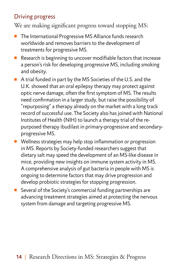### Driving progress

We are making significant progress toward stopping MS:

- The International Progressive MS Alliance funds research worldwide and removes barriers to the development of treatments for progressive MS.
- Research is beginning to uncover modifiable factors that increase a person's risk for developing progressive MS, including smoking and obesity.
- A trial funded in part by the MS Societies of the U.S. and the U.K. showed that an oral epilepsy therapy may protect against optic nerve damage, often the first symptom of MS. The results need confirmation in a larger study, but raise the possibility of "repurposing" a therapy already on the market with a long track record of successful use. The Society also has joined with National Institutes of Health (NIH) to launch a therapy trial of the repurposed therapy ibudilast in primary-progressive and secondaryprogressive MS.
- Wellness strategies may help stop inflammation or progression in MS. Reports by Society-funded researchers suggest that dietary salt may speed the development of an MS-like disease in mice, providing new insights on immune system activity in MS. A comprehensive analysis of gut bacteria in people with MS is ongoing to determine factors that may drive progression and develop probiotic strategies for stopping progression.
- Several of the Society's commercial funding partnerships are advancing treatment strategies aimed at protecting the nervous system from damage and targeting progressive MS.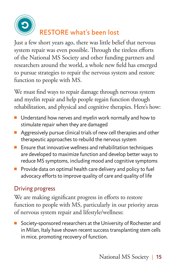

## RESTORE what's been lost

Just a few short years ago, there was little belief that nervous system repair was even possible. Through the tireless efforts of the National MS Society and other funding partners and researchers around the world, a whole new field has emerged to pursue strategies to repair the nervous system and restore function to people with MS.

> We must find ways to repair damage through nervous system and myelin repair and help people regain function through rehabilitation, and physical and cognitive therapies. Here's how:

- Understand how nerves and myelin work normally and how to stimulate repair when they are damaged
- Aggressively pursue clinical trials of new cell therapies and other therapeutic approaches to rebuild the nervous system
- Ensure that innovative wellness and rehabilitation techniques are developed to maximize function and develop better ways to reduce MS symptoms, including mood and cognitive symptoms
- Provide data on optimal health care delivery and policy to fuel advocacy efforts to improve quality of care and quality of life

### Driving progress

We are making significant progress in efforts to restore function to people with MS, particularly in our priority areas of nervous system repair and lifestyle/wellness:

■ Society-sponsored researchers at the University of Rochester and in Milan, Italy have shown recent success transplanting stem cells in mice, promoting recovery of function.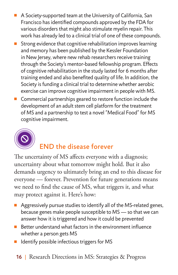- A Society-supported team at the University of California, San Francisco has identified compounds approved by the FDA for various disorders that might also stimulate myelin repair. This work has already led to a clinical trial of one of these compounds.
- Strong evidence that cognitive rehabilitation improves learning and memory has been published by the Kessler Foundation in New Jersey, where new rehab researchers receive training through the Society's mentor-based fellowship program. Effects of cognitive rehabilitation in the study lasted for 6 months after training ended and also benefited quality of life. In addition, the Society is funding a clinical trial to determine whether aerobic exercise can improve cognitive impairment in people with MS.
- Commercial partnerships geared to restore function include the development of an adult stem cell platform for the treatment of MS and a partnership to test a novel "Medical Food" for MS cognitive impairment.



### END the disease forever

**STOP RESTORE END** The uncertainty of MS affects everyone with a diagnosis; uncertainty about what tomorrow might hold. But it also demands urgency to ultimately bring an end to this disease for everyone — forever. Prevention for future generations means we need to find the cause of MS, what triggers it, and what may protect against it. Here's how:

- Aggressively pursue studies to identify all of the MS-related genes, because genes make people susceptible to MS — so that we can answer how it is triggered and how it could be prevented
- Better understand what factors in the environment influence whether a person gets MS
- Identify possible infectious triggers for MS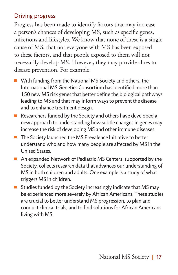### Driving progress

Progress has been made to identify factors that may increase a person's chances of developing MS, such as specific genes, infections and lifestyles. We know that none of these is a single cause of MS, that not everyone with MS has been exposed to these factors, and that people exposed to them will not necessarily develop MS. However, they may provide clues to disease prevention. For example:

- With funding from the National MS Society and others, the International MS Genetics Consortium has identified more than 150 new MS risk genes that better define the biological pathways leading to MS and that may inform ways to prevent the disease and to enhance treatment design.
- Researchers funded by the Society and others have developed a new approach to understanding how subtle changes in genes may increase the risk of developing MS and other immune diseases.
- The Society launched the MS Prevalence Initiative to better understand who and how many people are affected by MS in the United States.
- An expanded Network of Pediatric MS Centers, supported by the Society, collects research data that advances our understanding of MS in both children and adults. One example is a study of what triggers MS in children.
- Studies funded by the Society increasingly indicate that MS may be experienced more severely by African Americans. These studies are crucial to better understand MS progression, to plan and conduct clinical trials, and to find solutions for African Americans living with MS.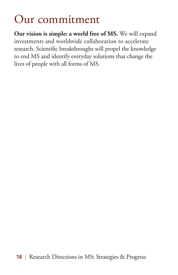## Our commitment

**Our vision is simple: a world free of MS.** We will expand investments and worldwide collaboration to accelerate research. Scientific breakthroughs will propel the knowledge to end MS and identify everyday solutions that change the lives of people with all forms of MS.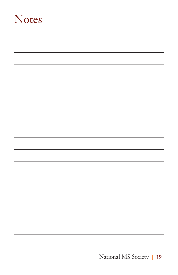## **Notes**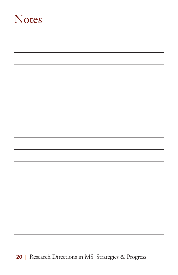## **Notes**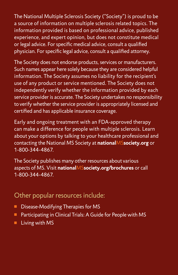The National Multiple Sclerosis Society ("Society") is proud to be a source of information on multiple sclerosis related topics. The information provided is based on professional advice, published experience, and expert opinion, but does not constitute medical or legal advice. For specific medical advice, consult a qualified physician. For specific legal advice, consult a qualified attorney.

The Society does not endorse products, services or manufacturers. Such names appear here solely because they are considered helpful information. The Society assumes no liability for the recipient's use of any product or service mentioned. The Society does not independently verify whether the information provided by each service provider is accurate. The Society undertakes no responsibility to verify whether the service provider is appropriately licensed and certified and has applicable insurance coverage.

Early and ongoing treatment with an FDA-approved therapy can make a difference for people with multiple sclerosis. Learn about your options by talking to your healthcare professional and contacting the National MS Society at **national**MS**society.org** or 1-800-344-4867.

The Society publishes many other resources about various aspects of MS. Visit **national**MS**society.org/brochures** or call 1-800-344-4867.

### Other popular resources include:

- Disease-Modifying Therapies for MS
- Participating in Clinical Trials: A Guide for People with MS
- Living with MS